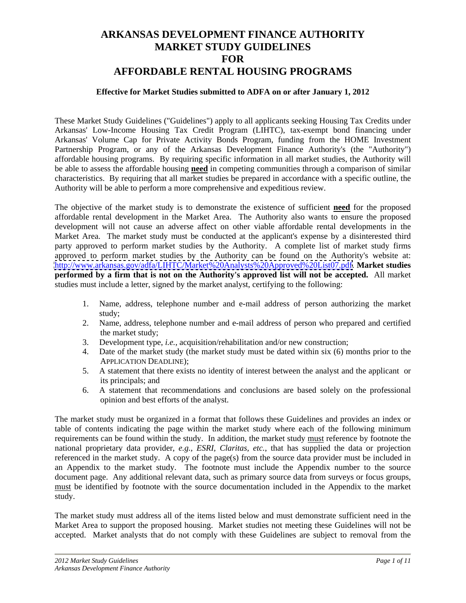# **ARKANSAS DEVELOPMENT FINANCE AUTHORITY MARKET STUDY GUIDELINES FOR AFFORDABLE RENTAL HOUSING PROGRAMS**

#### **Effective for Market Studies submitted to ADFA on or after January 1, 2012**

These Market Study Guidelines ("Guidelines") apply to all applicants seeking Housing Tax Credits under Arkansas' Low-Income Housing Tax Credit Program (LIHTC), tax-exempt bond financing under Arkansas' Volume Cap for Private Activity Bonds Program, funding from the HOME Investment Partnership Program, or any of the Arkansas Development Finance Authority's (the "Authority") affordable housing programs. By requiring specific information in all market studies, the Authority will be able to assess the affordable housing **need** in competing communities through a comparison of similar characteristics. By requiring that all market studies be prepared in accordance with a specific outline, the Authority will be able to perform a more comprehensive and expeditious review.

The objective of the market study is to demonstrate the existence of sufficient **need** for the proposed affordable rental development in the Market Area. The Authority also wants to ensure the proposed development will not cause an adverse affect on other viable affordable rental developments in the Market Area. The market study must be conducted at the applicant's expense by a disinterested third party approved to perform market studies by the Authority. A complete list of market study firms approved to perform market studies by the Authority can be found on the Authority's website at: [http://www.arkansas.gov/adfa/LIHTC/Market%20Analysts%20Approved%20List07.pdf.](http://www.arkansas.gov/adfa/LIHTC/Market%20Analysts%20Approved%20List07.pdf) **Market studies performed by a firm that is not on the Authority's approved list will not be accepted.** All market studies must include a letter, signed by the market analyst, certifying to the following:

- 1. Name, address, telephone number and e-mail address of person authorizing the market study;
- 2. Name, address, telephone number and e-mail address of person who prepared and certified the market study;
- 3. Development type, *i.e.*, acquisition/rehabilitation and/or new construction;
- 4. Date of the market study (the market study must be dated within six (6) months prior to the APPLICATION DEADLINE);
- 5. A statement that there exists no identity of interest between the analyst and the applicant or its principals; and
- 6. A statement that recommendations and conclusions are based solely on the professional opinion and best efforts of the analyst.

The market study must be organized in a format that follows these Guidelines and provides an index or table of contents indicating the page within the market study where each of the following minimum requirements can be found within the study. In addition, the market study must reference by footnote the national proprietary data provider, *e.g., ESRI, Claritas, etc.*, that has supplied the data or projection referenced in the market study. A copy of the page(s) from the source data provider must be included in an Appendix to the market study. The footnote must include the Appendix number to the source document page. Any additional relevant data, such as primary source data from surveys or focus groups, must be identified by footnote with the source documentation included in the Appendix to the market study.

The market study must address all of the items listed below and must demonstrate sufficient need in the Market Area to support the proposed housing. Market studies not meeting these Guidelines will not be accepted. Market analysts that do not comply with these Guidelines are subject to removal from the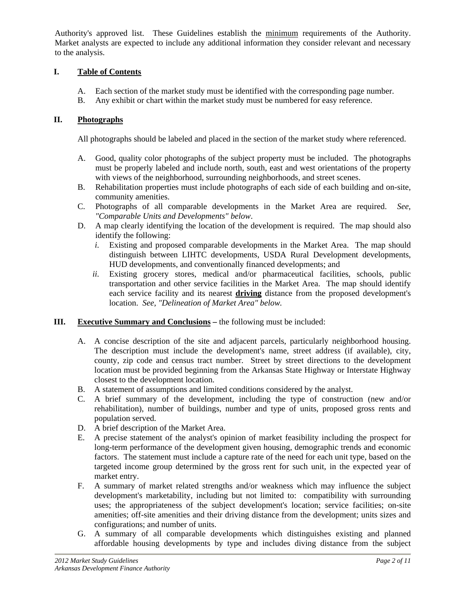Authority's approved list. These Guidelines establish the minimum requirements of the Authority. Market analysts are expected to include any additional information they consider relevant and necessary to the analysis.

# **I. Table of Contents**

- A. Each section of the market study must be identified with the corresponding page number.
- B. Any exhibit or chart within the market study must be numbered for easy reference.

## **II. Photographs**

All photographs should be labeled and placed in the section of the market study where referenced.

- A. Good, quality color photographs of the subject property must be included. The photographs must be properly labeled and include north, south, east and west orientations of the property with views of the neighborhood, surrounding neighborhoods, and street scenes.
- B. Rehabilitation properties must include photographs of each side of each building and on-site, community amenities.
- C. Photographs of all comparable developments in the Market Area are required. *See, "Comparable Units and Developments" below*.
- D. A map clearly identifying the location of the development is required. The map should also identify the following:
	- *i.* Existing and proposed comparable developments in the Market Area. The map should distinguish between LIHTC developments, USDA Rural Development developments, HUD developments, and conventionally financed developments; and
	- *ii.* Existing grocery stores, medical and/or pharmaceutical facilities, schools, public transportation and other service facilities in the Market Area. The map should identify each service facility and its nearest **driving** distance from the proposed development's location. *See, "Delineation of Market Area" below.*

#### **III. Executive Summary and Conclusions –** the following must be included:

- A. A concise description of the site and adjacent parcels, particularly neighborhood housing. The description must include the development's name, street address (if available), city, county, zip code and census tract number. Street by street directions to the development location must be provided beginning from the Arkansas State Highway or Interstate Highway closest to the development location.
- B. A statement of assumptions and limited conditions considered by the analyst.
- C. A brief summary of the development, including the type of construction (new and/or rehabilitation), number of buildings, number and type of units, proposed gross rents and population served.
- D. A brief description of the Market Area.
- E. A precise statement of the analyst's opinion of market feasibility including the prospect for long-term performance of the development given housing, demographic trends and economic factors. The statement must include a capture rate of the need for each unit type, based on the targeted income group determined by the gross rent for such unit, in the expected year of market entry.
- F. A summary of market related strengths and/or weakness which may influence the subject development's marketability, including but not limited to: compatibility with surrounding uses; the appropriateness of the subject development's location; service facilities; on-site amenities; off-site amenities and their driving distance from the development; units sizes and configurations; and number of units.
- G. A summary of all comparable developments which distinguishes existing and planned affordable housing developments by type and includes diving distance from the subject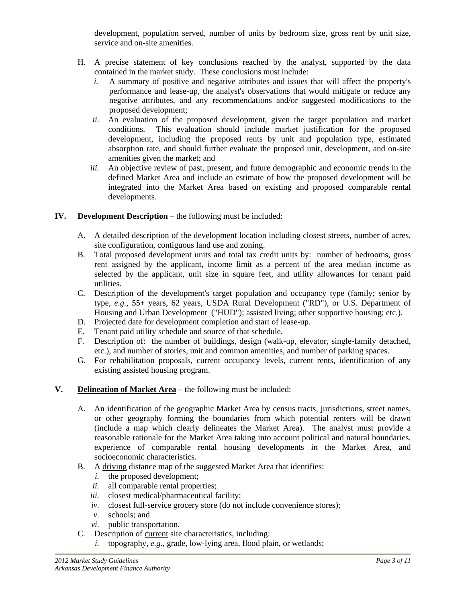development, population served, number of units by bedroom size, gross rent by unit size, service and on-site amenities.

- H. A precise statement of key conclusions reached by the analyst, supported by the data contained in the market study. These conclusions must include:
	- *i.* A summary of positive and negative attributes and issues that will affect the property's performance and lease-up, the analyst's observations that would mitigate or reduce any negative attributes, and any recommendations and/or suggested modifications to the proposed development;
	- *ii.* An evaluation of the proposed development, given the target population and market conditions. This evaluation should include market justification for the proposed development, including the proposed rents by unit and population type, estimated absorption rate, and should further evaluate the proposed unit, development, and on-site amenities given the market; and
	- *iii.* An objective review of past, present, and future demographic and economic trends in the defined Market Area and include an estimate of how the proposed development will be integrated into the Market Area based on existing and proposed comparable rental developments.
- **IV. Development Description** the following must be included:
	- A. A detailed description of the development location including closest streets, number of acres, site configuration, contiguous land use and zoning.
	- B. Total proposed development units and total tax credit units by: number of bedrooms, gross rent assigned by the applicant, income limit as a percent of the area median income as selected by the applicant, unit size in square feet, and utility allowances for tenant paid utilities.
	- C. Description of the development's target population and occupancy type (family; senior by type, *e.g.,* 55+ years, 62 years, USDA Rural Development ("RD"), or U.S. Department of Housing and Urban Development ("HUD"); assisted living; other supportive housing; etc.).
	- D. Projected date for development completion and start of lease-up.
	- E. Tenant paid utility schedule and source of that schedule.
	- F. Description of: the number of buildings, design (walk-up, elevator, single-family detached, etc.), and number of stories, unit and common amenities, and number of parking spaces.
	- G. For rehabilitation proposals, current occupancy levels, current rents, identification of any existing assisted housing program.
- **V. Delineation of Market Area** the following must be included:
	- A. An identification of the geographic Market Area by census tracts, jurisdictions, street names, or other geography forming the boundaries from which potential renters will be drawn (include a map which clearly delineates the Market Area). The analyst must provide a reasonable rationale for the Market Area taking into account political and natural boundaries, experience of comparable rental housing developments in the Market Area, and socioeconomic characteristics.
	- B. A driving distance map of the suggested Market Area that identifies:
		- *i.* the proposed development;
		- *ii.* all comparable rental properties;
		- *iii.* closest medical/pharmaceutical facility;
		- *iv.* closest full-service grocery store (do not include convenience stores);
		- *v.* schools; and
		- *vi.* public transportation.
	- C. Description of current site characteristics, including:
		- *i.* topography, *e.g.*, grade, low-lying area, flood plain, or wetlands;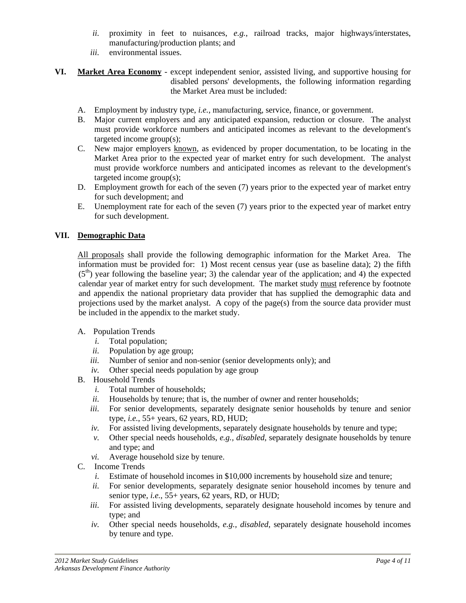- *ii.* proximity in feet to nuisances, *e.g.*, railroad tracks, major highways/interstates, manufacturing/production plants; and
- *iii.* environmental issues.
- **VI. Market Area Economy** except independent senior, assisted living, and supportive housing for disabled persons' developments, the following information regarding the Market Area must be included:
	- A. Employment by industry type, *i.e.*, manufacturing, service, finance, or government.
	- B. Major current employers and any anticipated expansion, reduction or closure. The analyst must provide workforce numbers and anticipated incomes as relevant to the development's targeted income group(s);
	- C. New major employers known, as evidenced by proper documentation, to be locating in the Market Area prior to the expected year of market entry for such development. The analyst must provide workforce numbers and anticipated incomes as relevant to the development's targeted income group(s);
	- D. Employment growth for each of the seven (7) years prior to the expected year of market entry for such development; and
	- E. Unemployment rate for each of the seven (7) years prior to the expected year of market entry for such development.

## **VII. Demographic Data**

All proposals shall provide the following demographic information for the Market Area. The information must be provided for: 1) Most recent census year (use as baseline data); 2) the fifth  $(5<sup>th</sup>)$  year following the baseline year; 3) the calendar year of the application; and 4) the expected calendar year of market entry for such development. The market study must reference by footnote and appendix the national proprietary data provider that has supplied the demographic data and projections used by the market analyst. A copy of the page(s) from the source data provider must be included in the appendix to the market study.

#### A. Population Trends

- *i.* Total population;
- *ii.* Population by age group;
- *iii.* Number of senior and non-senior (senior developments only); and
- *iv.* Other special needs population by age group
- B. Household Trends
	- *i.* Total number of households;
	- *ii.* Households by tenure; that is, the number of owner and renter households;
	- *iii.* For senior developments, separately designate senior households by tenure and senior type, *i.e.*, 55+ years, 62 years, RD, HUD;
	- *iv.* For assisted living developments, separately designate households by tenure and type;
	- *v.* Other special needs households, *e.g., disabled*, separately designate households by tenure and type; and
	- *vi.* Average household size by tenure.
- C. Income Trends
	- *i.* Estimate of household incomes in \$10,000 increments by household size and tenure;
	- *ii.* For senior developments, separately designate senior household incomes by tenure and senior type, *i.e.*, 55+ years, 62 years, RD, or HUD;
	- *iii.* For assisted living developments, separately designate household incomes by tenure and type; and
	- *iv.* Other special needs households, *e.g., disabled*, separately designate household incomes by tenure and type.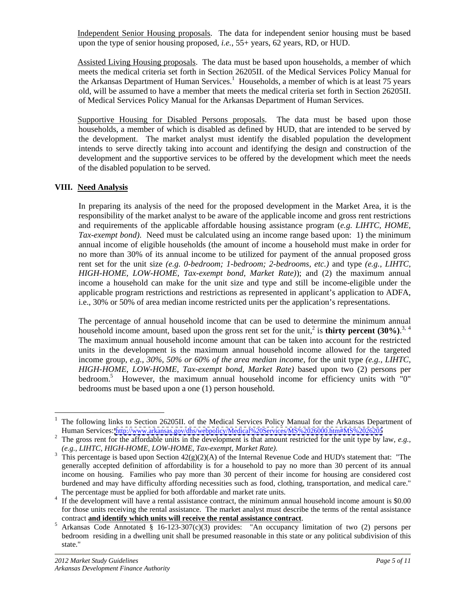Independent Senior Housing proposals. The data for independent senior housing must be based

upon the type of senior housing proposed, *i.e.*, 55+ years, 62 years, RD, or HUD.<br>Assisted Living Housing proposals. The data must be based upon households, a member of which meets the medical criteria set forth in Section 26205II. of the Medical Services Policy Manual for the Arkansas Department of Human Services.<sup>1</sup> Households, a member of which is at least 75 years old, will be assumed to have a member that meets the medical criteria set forth in Section 26205II. of Medical Services Policy Manual for the Arkansas Department of Human Services.

Supportive Housing for Disabled Persons proposals. The data must be based upon those households, a member of which is disabled as defined by HUD, that are intended to be served by the development. The market analyst must identify the disabled population the development intends to serve directly taking into account and identifying the design and construction of the development and the supportive services to be offered by the development which meet the needs of the disabled population to be served.

#### **VIII. Need Analysis**

In preparing its analysis of the need for the proposed development in the Market Area, it is the responsibility of the market analyst to be aware of the applicable income and gross rent restrictions and requirements of the applicable affordable housing assistance program (*e.g. LIHTC, HOME, Tax-exempt bond)*. Need must be calculated using an income range based upon: 1) the minimum annual income of eligible households (the amount of income a household must make in order for no more than 30% of its annual income to be utilized for payment of the annual proposed gross rent set for the unit size *(e.g. 0-bedroom; 1-bedroom; 2-bedrooms, etc.)* and type *(e.g., LIHTC, HIGH-HOME, LOW-HOME, Tax-exempt bond, Market Rate)*); and (2) the maximum annual income a household can make for the unit size and type and still be income-eligible under the applicable program restrictions and restrictions as represented in applicant's application to ADFA,

i.e., 30% or 50% of area median income restricted units per the application's representations. The percentage of annual household income that can be used to determine the minimum annual household income amount, based upon the gross rent set for the unit,<sup>2</sup> is **thirty percent** (30%).<sup>3, 4</sup> The maximum annual household income amount that can be taken into account for the restricted units in the development is the maximum annual household income allowed for the targeted income group, *e.g., 30%, 50% or 60% of the area median income,* for the unit type*(e.g., LIHTC, HIGH-HOME, LOW-HOME, Tax-exempt bond, Market Rate)* based upon two (2) persons per bedroom.<sup>5</sup> However, the maximum annual household income for efficiency units with "0" bedrooms must be based upon a one (1) person household.

<sup>&</sup>lt;sup>1</sup> The following links to Section 26205II. of the Medical Services Policy Manual for the Arkansas Department of Human Services: <http://www.arkansas.gov/dhs/webpolicy/Medical%20Services/MS%2026000.htm#MS%2026205>

<sup>&</sup>lt;sup>2</sup> The gross rent for the affordable units in the development is that amount restricted for the unit type by law, *e.g.*,  $(e.g., LIHTC, HIGH-HOME, LOW-HOME, Tax-exempt, Market Rate)$ .

<sup>&</sup>lt;sup>3</sup> This percentage is based upon Section  $42(g)(2)(A)$  of the Internal Revenue Code and HUD's statement that: "The generally accepted definition of affordability is for a household to pay no more than 30 percent of its annual income on housing. Families who pay more than 30 percent of their income for housing are considered cost burdened and may have difficulty affording necessities such as food, clothing, transportation, and medical care."

The percentage must be applied for both affordable and market rate units.<br><sup>4</sup> If the development will have a rental assistance contract, the minimum annual household income amount is \$0.00 for those units receiving the rental assistance. The market analyst must describe the terms of the rental assistance

contract **and identify which units will receive the rental assistance contract**. <sup>5</sup> Arkansas Code Annotated § 16-123-307(c)(3) provides: "An occupancy limitation of two (2) persons per bedroom residing in a dwelling unit shall be presumed reasonable in this state or any political subdivision of this state."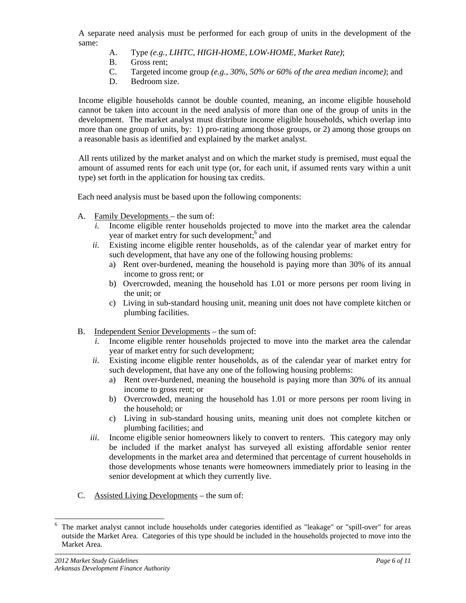A separate need analysis must be performed for each group of units in the development of the same:

- A. Type *(e.g., LIHTC, HIGH-HOME, LOW-HOME, Market Rate)*;
- B. Gross rent;
- C. Targeted income group *(e.g., 30%, 50% or 60% of the area median income)*; and
- D. Bedroom size.

Income eligible households cannot be double counted, meaning, an income eligible household cannot be taken into account in the need analysis of more than one of the group of units in the development. The market analyst must distribute income eligible households, which overlap into more than one group of units, by: 1) pro-rating among those groups, or 2) among those groups on a reasonable basis as identified and explained by the market analyst.

All rents utilized by the market analyst and on which the market study is premised, must equal the amount of assumed rents for each unit type (or, for each unit, if assumed rents vary within a unit type) set forth in the application for housing tax credits. Each need analysis must be based upon the following components:

- A. Family Developments the sum of:
	- *i.* Income eligible renter households projected to move into the market area the calendar year of market entry for such development;<sup>6</sup> and and
	- *ii.* Existing income eligible renter households, as of the calendar year of market entry for such development, that have any one of the following housing problems:
		- a) Rent over-burdened, meaning the household is paying more than 30% of its annual income to gross rent; or
		- b) Overcrowded, meaning the household has 1.01 or more persons per room living in the unit; or
		- c) Living in sub-standard housing unit, meaning unit does not have complete kitchen or plumbing facilities.
- B. Independent Senior Developments the sum of:
	- *i.* Income eligible renter households projected to move into the market area the calendar year of market entry for such development;
	- *ii.* Existing income eligible renter households, as of the calendar year of market entry for such development, that have any one of the following housing problems:
		- a) Rent over-burdened, meaning the household is paying more than 30% of its annual income to gross rent; or
		- b) Overcrowded, meaning the household has 1.01 or more persons per room living in the household; or
		- c) Living in sub-standard housing units, meaning unit does not complete kitchen or plumbing facilities; and
- *iii.* Income eligible senior homeowners likely to convert to renters. This category may only be included if the market analyst has surveyed all existing affordable senior renter developments in the market area and determined that percentage of current households in those developments whose tenants were homeowners immediately prior to leasing in the senior development at which they currently live.<br>
C. Assisted Living Developments – the sum of:
- 

 <sup>6</sup> The market analyst cannot include households under categories identified as "leakage" or "spill-over" for areas outside the Market Area. Categories of this type should be included in the households projected to move into the Market Area.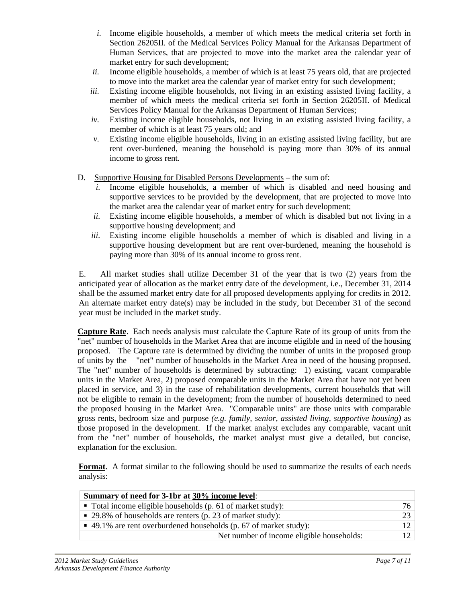- *i.* Income eligible households, a member of which meets the medical criteria set forth in Section 26205II. of the Medical Services Policy Manual for the Arkansas Department of Human Services, that are projected to move into the market area the calendar year of market entry for such development;
- *ii.* Income eligible households, a member of which is at least 75 years old, that are projected to move into the market area the calendar year of market entry for such development;
- *iii.* Existing income eligible households, not living in an existing assisted living facility, a member of which meets the medical criteria set forth in Section 26205II. of Medical Services Policy Manual for the Arkansas Department of Human Services;
- *iv.* Existing income eligible households, not living in an existing assisted living facility, a member of which is at least 75 years old; and
- *v.* Existing income eligible households, living in an existing assisted living facility, but are rent over-burdened, meaning the household is paying more than 30% of its annual income to gross rent.
- D. Supportive Housing for Disabled Persons Developments the sum of:
	- *i.* Income eligible households, a member of which is disabled and need housing and supportive services to be provided by the development, that are projected to move into the market area the calendar year of market entry for such development;
	- *ii.* Existing income eligible households, a member of which is disabled but not living in a supportive housing development; and
	- *iii.* Existing income eligible households a member of which is disabled and living in a supportive housing development but are rent over-burdened, meaning the household is paying more than 30% of its annual income to gross rent.

E. All market studies shall utilize December 31 of the year that is two (2) years from the anticipated year of allocation as the market entry date of the development, i.e., December 31, 2014 shall be the assumed market entry date for all proposed developments applying for credits in 2012. An alternate market entry date(s) may be included in the study, but December <sup>31</sup> of the second year must be included in the market study.

**Capture Rate**. Each needs analysis must calculate the Capture Rate of its group of units from the "net" number of households in the Market Area that are income eligible and in need of the housing proposed. The Capture rate is determined by dividing the number of units in the proposed group of units by the "net" number of households in the Market Area in need of the housing proposed. The "net" number of households is determined by subtracting: 1) existing, vacant comparable units in the Market Area, 2) proposed comparable units in the Market Area that have not yet been placed in service, and 3) in the case of rehabilitation developments, current households that will not be eligible to remain in the development; from the number of households determined to need the proposed housing in the Market Area. "Comparable units" are those units with comparable gross rents, bedroom size and purpose *(e.g. family, senior, assisted living, supportive housing)* as those proposed in the development. If the market analyst excludesany comparable, vacant unit from the "net" number of households, the market analyst must give a detailed, but concise, explanation for the exclusion.

**Format**. A format similar to the following should be used to summarize the results of each needs analysis:

| Summary of need for 3-1br at 30% income level:                            |                                           |  |
|---------------------------------------------------------------------------|-------------------------------------------|--|
| $\blacksquare$ Total income eligible households (p. 61 of market study):  |                                           |  |
| $\sim$ 29.8% of households are renters (p. 23 of market study):           |                                           |  |
| $\bullet$ 49.1% are rent overburdened households (p. 67 of market study): |                                           |  |
|                                                                           | Net number of income eligible households: |  |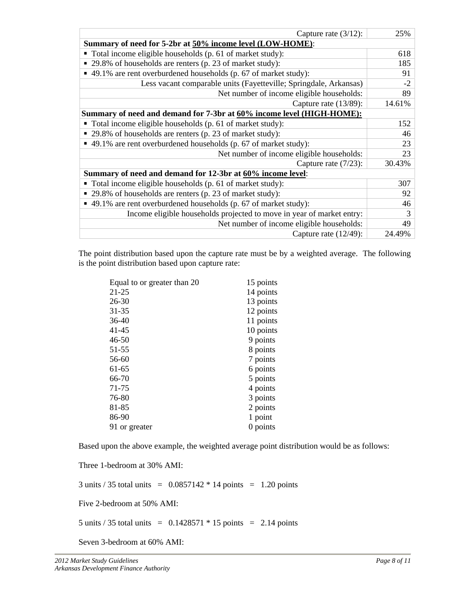| Capture rate $(3/12)$ :                                                               | 25%    |
|---------------------------------------------------------------------------------------|--------|
| Summary of need for 5-2br at 50% income level (LOW-HOME):                             |        |
| $\blacksquare$ Total income eligible households (p. 61 of market study):              |        |
| • 29.8% of households are renters (p. 23 of market study):                            |        |
| $\sim$ 49.1% are rent overburdened households (p. 67 of market study):                |        |
| Less vacant comparable units (Fayetteville; Springdale, Arkansas)                     |        |
| Net number of income eligible households:                                             |        |
| Capture rate $(13/89)$ :                                                              | 14.61% |
| Summary of need and demand for 7-3br at 60% income level (HIGH-HOME):                 |        |
| $\bullet$ Total income eligible households (p. 61 of market study):                   |        |
| $\approx$ 29.8% of households are renters (p. 23 of market study):                    |        |
| $\sim$ 49.1% are rent overburdened households (p. 67 of market study):                |        |
| Net number of income eligible households:                                             |        |
| Capture rate $(7/23)$ :                                                               | 30.43% |
| Summary of need and demand for 12-3br at 60% income level:                            |        |
| $\bullet$ Total income eligible households (p. 61 of market study):                   |        |
| $\approx$ 29.8% of households are renters (p. 23 of market study):                    |        |
| $\blacktriangleright$ 49.1% are rent overburdened households (p. 67 of market study): |        |
| Income eligible households projected to move in year of market entry:                 |        |
| Net number of income eligible households:                                             |        |
| Capture rate $(12/49)$ :                                                              | 24.499 |

The point distribution based upon the capture rate must be by a weighted average. The following is the point distribution based upon capture rate:

| 14 points<br>13 points<br>12 points<br>11 points<br>10 points<br>9 points<br>8 points<br>7 points<br>6 points<br>5 points<br>4 points<br>3 points<br>2 points<br>1 point<br>0 points | Equal to or greater than 20 | 15 points |  |
|--------------------------------------------------------------------------------------------------------------------------------------------------------------------------------------|-----------------------------|-----------|--|
|                                                                                                                                                                                      | $21-25$                     |           |  |
|                                                                                                                                                                                      | $26 - 30$                   |           |  |
|                                                                                                                                                                                      | $31 - 35$                   |           |  |
|                                                                                                                                                                                      | $36-40$                     |           |  |
|                                                                                                                                                                                      | $41 - 45$                   |           |  |
|                                                                                                                                                                                      | $46 - 50$                   |           |  |
|                                                                                                                                                                                      | $51-55$                     |           |  |
|                                                                                                                                                                                      | 56-60                       |           |  |
|                                                                                                                                                                                      | 61-65                       |           |  |
|                                                                                                                                                                                      | 66-70                       |           |  |
|                                                                                                                                                                                      | 71-75                       |           |  |
|                                                                                                                                                                                      | 76-80                       |           |  |
|                                                                                                                                                                                      | 81-85                       |           |  |
|                                                                                                                                                                                      | 86-90                       |           |  |
|                                                                                                                                                                                      | 91 or greater               |           |  |

Based upon the above example, the weighted average point distribution would be as follows:

Three 1-bedroom at 30% AMI:

3 units  $/ 35$  total units = 0.0857142  $*$  14 points = 1.20 points

Five 2-bedroom at 50% AMI:

5 units  $/ 35$  total units = 0.1428571  $* 15$  points = 2.14 points

Seven 3-bedroom at 60% AMI: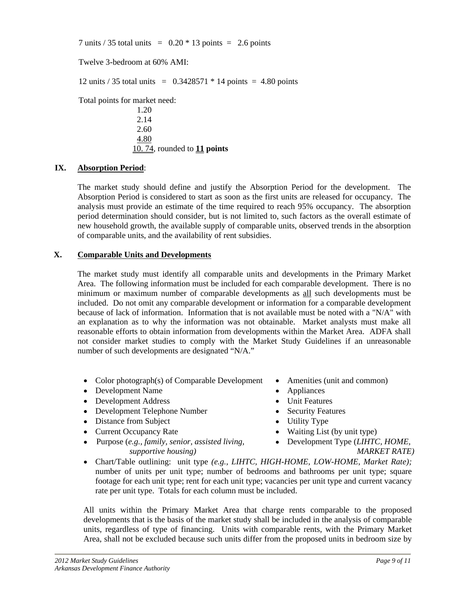7 units  $/ 35$  total units = 0.20  $* 13$  points = 2.6 points

Twelve 3-bedroom at 60% AMI:

12 units  $/ 35$  total units = 0.3428571  $*$  14 points = 4.80 points

Total points for market need:

1.20 2.14 2.60 4.80 10. 74, rounded to **11 points**

#### **IX. Absorption Period**:

The market study should define and justify the Absorption Period for the development. The Absorption Period is considered to start as soon as the first units are released for occupancy. The analysis must provide an estimate of the time required to reach 95% occupancy. The absorption period determination should consider, but is not limited to, such factors as the overall estimate of new household growth, the available supply of comparable units, observed trends in the absorption of comparable units, and the availability of rent subsidies.

#### **X. Comparable Units and Developments**

The market study must identify all comparable units and developmentsin the Primary Market Area. The following information must be included for each comparable development. There is no minimum or maximum number of comparable developments as all such developments must be included. Do not omit any comparable development or information for a comparable development because of lack of information. Information that is not available must be noted with a "N/A" with an explanation as to why the information was not obtainable. Market analysts must make all reasonable efforts to obtain information from developments within the Market Area. ADFA shall not consider market studies to comply with the Market Study Guidelines if an unreasonable number of such developments are designated "N/A."

- Color photograph(s) of Comparable Development Amenities (unit and common)
- Development Name **Appliances Constanting Appliances Constanting Appliances**
- Development Address **Conserversity** Development Address **Conserversity** Development Address
- Development Telephone Number Security Features
- Distance from Subject **Constant Constant Constant Constant Constant Constant Constant Constant Constant Constant Constant Constant Constant Constant Constant Constant Constant Constant Constant Constant Constant Constant C**
- 
- Purpose (*e.g., family, senior, assisted living, supportive housing)*
- 
- 
- 
- 
- 
- Current Occupancy Rate Waiting List (by unit type)
	- Development Type (*LIHTC, HOME, MARKET RATE)*
- Chart/Table outlining: unit type *(e.g., LIHTC, HIGH-HOME, LOW-HOME, Market Rate);* number of units per unit type; number of bedrooms and bathrooms per unit type; square footage for each unit type; rent for each unit type; vacancies per unit type and current vacancy rate per unit type. Totals for each column must be included.

All units within the Primary Market Area that charge rents comparable to the proposed developments that is the basis of the market study shall be included in the analysis of comparable units, regardless of type of financing. Units with comparable rents, with the Primary Market Area, shall not be excluded because such units differ from the proposed units in bedroom size by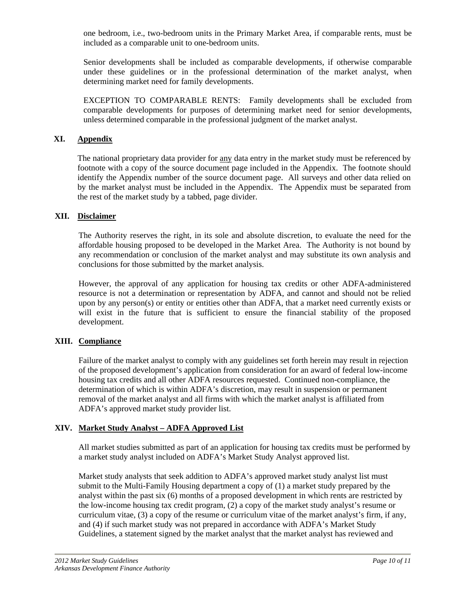one bedroom, i.e., two-bedroom units in the Primary Market Area, if comparable rents, must be included as a comparable unit to one-bedroom units.

Senior developments shall be included as comparable developments, if otherwise comparable under these guidelines or in the professional determination of the market analyst, when determining market need for family developments.

EXCEPTION TO COMPARABLE RENTS: Family developments shall be excluded from comparable developments for purposes of determining market need for senior developments, unless determined comparable in the professional judgment of the market analyst.

#### **XI. Appendix**

The national proprietary data provider for any data entry in the market study must be referenced by footnote with a copy of the source document page included in the Appendix. The footnote should identify the Appendix number of the source document page. All surveys and other data relied on by the market analyst must be included in the Appendix. The Appendix must be separated from the rest of the market study by a tabbed, page divider.

#### **XII. Disclaimer**

The Authority reserves the right, in its sole and absolute discretion, to evaluate the need for the affordable housing proposed to be developed in the Market Area. The Authority is not bound by any recommendation or conclusion of the market analyst and may substitute its own analysis and

conclusions for those submitted by the market analysis.<br>However, the approval of any application for housing tax credits or other ADFA-administered resource is not a determination or representation by ADFA, and cannot and should not be relied upon by any person(s) or entity or entities other than ADFA, that a market need currently exists or will exist in the future that is sufficient to ensure the financial stability of the proposed development.

# **XIII. Compliance**

Failure of the market analyst to comply with any guidelines set forth herein may result in rejection of the proposed development's application from consideration for an award of federal low-income housing tax credits and all other ADFA resources requested. Continued non-compliance, the determination of which is within ADFA's discretion, may result in suspension or permanent removal of the market analyst and all firms with which the market analyst is affiliated from ADFA's approved market study provider list.

#### **XIV. Market Study Analyst – ADFA Approved List**

All market studies submitted as part of an application for housing tax credits must be performed by a market study analyst included on ADFA's Market Study Analyst approved list.

Market study analysts that seek addition to ADFA's approved market study analyst list must submit to the Multi-Family Housing department a copy of (1) a market study prepared by the analyst within the past six (6) months of a proposed development in which rents are restricted by the low-income housing tax credit program, (2) a copy of the market study analyst's resume or curriculum vitae, (3) a copy of the resume or curriculum vitae of the market analyst's firm, if any, and (4) if such market study was not prepared in accordance with ADFA's Market Study Guidelines, a statement signed by the market analyst that the market analyst has reviewed and